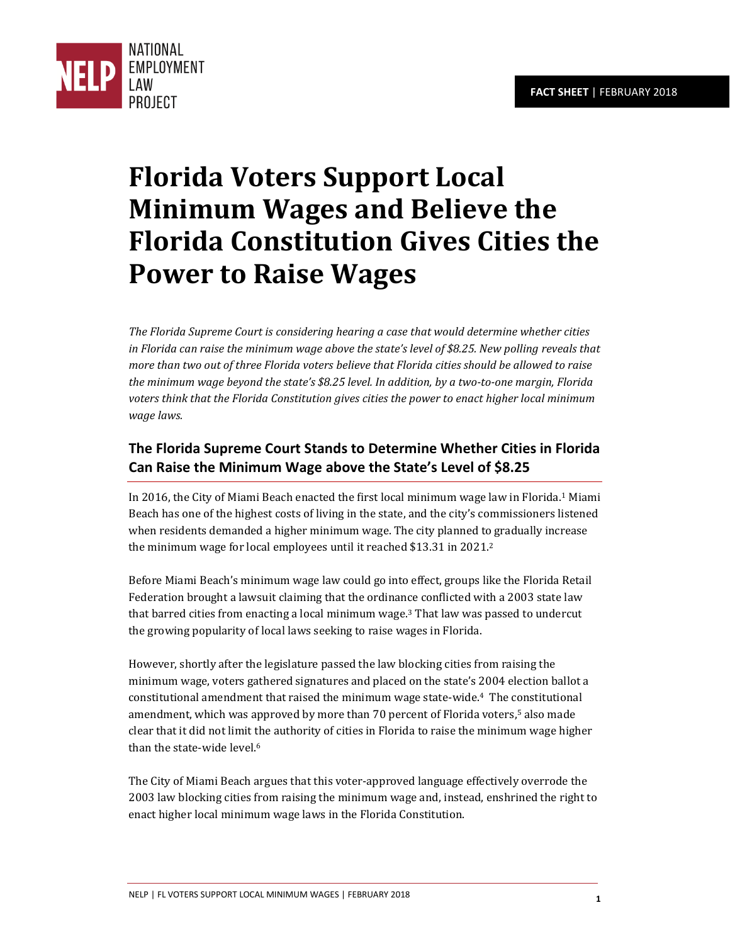

# **Florida Voters Support Local Minimum Wages and Believe the Florida Constitution Gives Cities the Power to Raise Wages**

*The Florida Supreme Court is considering hearing a case that would determine whether cities in Florida can raise the minimum wage above the state's level of \$8.25. New polling reveals that more than two out of three Florida voters believe that Florida cities should be allowed to raise the minimum wage beyond the state's \$8.25 level. In addition, by a two-to-one margin, Florida voters think that the Florida Constitution gives cities the power to enact higher local minimum wage laws.* 

# **The Florida Supreme Court Stands to Determine Whether Cities in Florida Can Raise the Minimum Wage above the State's Level of \$8.25**

In 2016, the City of Miami Beach enacted the first local minimum wage law in Florida.1 Miami Beach has one of the highest costs of living in the state, and the city's commissioners listened when residents demanded a higher minimum wage. The city planned to gradually increase the minimum wage for local employees until it reached \$13.31 in 2021.<sup>2</sup>

Before Miami Beach's minimum wage law could go into effect, groups like the Florida Retail Federation brought a lawsuit claiming that the ordinance conflicted with a 2003 state law that barred cities from enacting a local minimum wage.3 That law was passed to undercut the growing popularity of local laws seeking to raise wages in Florida.

However, shortly after the legislature passed the law blocking cities from raising the minimum wage, voters gathered signatures and placed on the state's 2004 election ballot a constitutional amendment that raised the minimum wage state-wide.4 The constitutional amendment, which was approved by more than 70 percent of Florida voters,<sup>5</sup> also made clear that it did not limit the authority of cities in Florida to raise the minimum wage higher than the state-wide level.<sup>6</sup>

The City of Miami Beach argues that this voter-approved language effectively overrode the 2003 law blocking cities from raising the minimum wage and, instead, enshrined the right to enact higher local minimum wage laws in the Florida Constitution.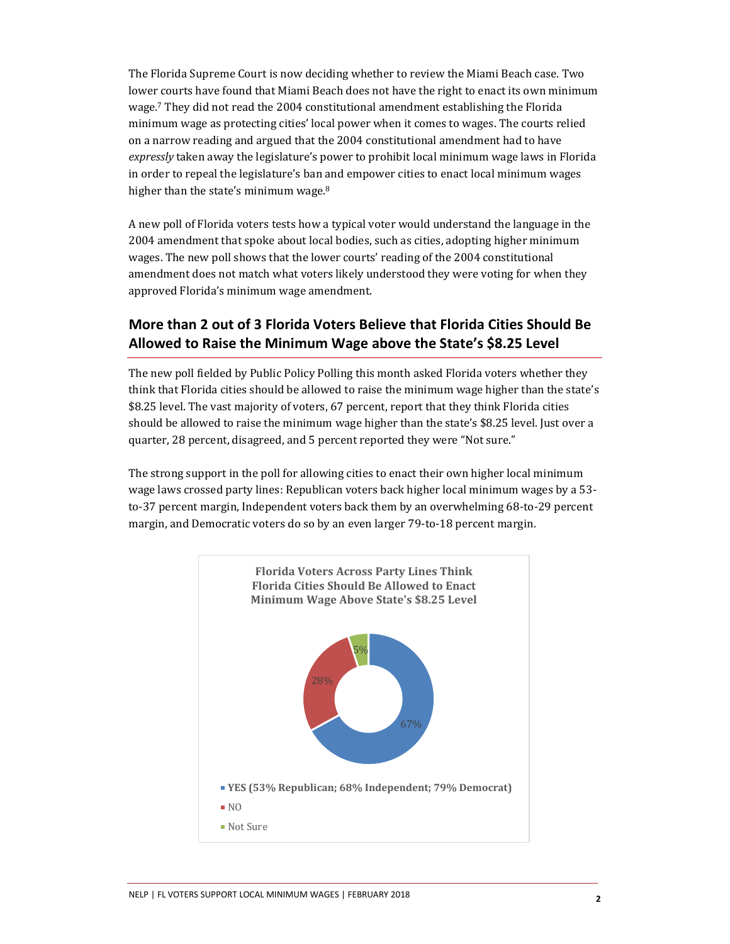The Florida Supreme Court is now deciding whether to review the Miami Beach case. Two lower courts have found that Miami Beach does not have the right to enact its own minimum wage.7 They did not read the 2004 constitutional amendment establishing the Florida minimum wage as protecting cities' local power when it comes to wages. The courts relied on a narrow reading and argued that the 2004 constitutional amendment had to have *expressly* taken away the legislature's power to prohibit local minimum wage laws in Florida in order to repeal the legislature's ban and empower cities to enact local minimum wages higher than the state's minimum wage.<sup>8</sup>

A new poll of Florida voters tests how a typical voter would understand the language in the 2004 amendment that spoke about local bodies, such as cities, adopting higher minimum wages. The new poll shows that the lower courts' reading of the 2004 constitutional amendment does not match what voters likely understood they were voting for when they approved Florida's minimum wage amendment.

### **More than 2 out of 3 Florida Voters Believe that Florida Cities Should Be Allowed to Raise the Minimum Wage above the State's \$8.25 Level**

The new poll fielded by Public Policy Polling this month asked Florida voters whether they think that Florida cities should be allowed to raise the minimum wage higher than the state's \$8.25 level. The vast majority of voters, 67 percent, report that they think Florida cities should be allowed to raise the minimum wage higher than the state's \$8.25 level. Just over a quarter, 28 percent, disagreed, and 5 percent reported they were "Not sure."

The strong support in the poll for allowing cities to enact their own higher local minimum wage laws crossed party lines: Republican voters back higher local minimum wages by a 53 to-37 percent margin, Independent voters back them by an overwhelming 68-to-29 percent margin, and Democratic voters do so by an even larger 79-to-18 percent margin.

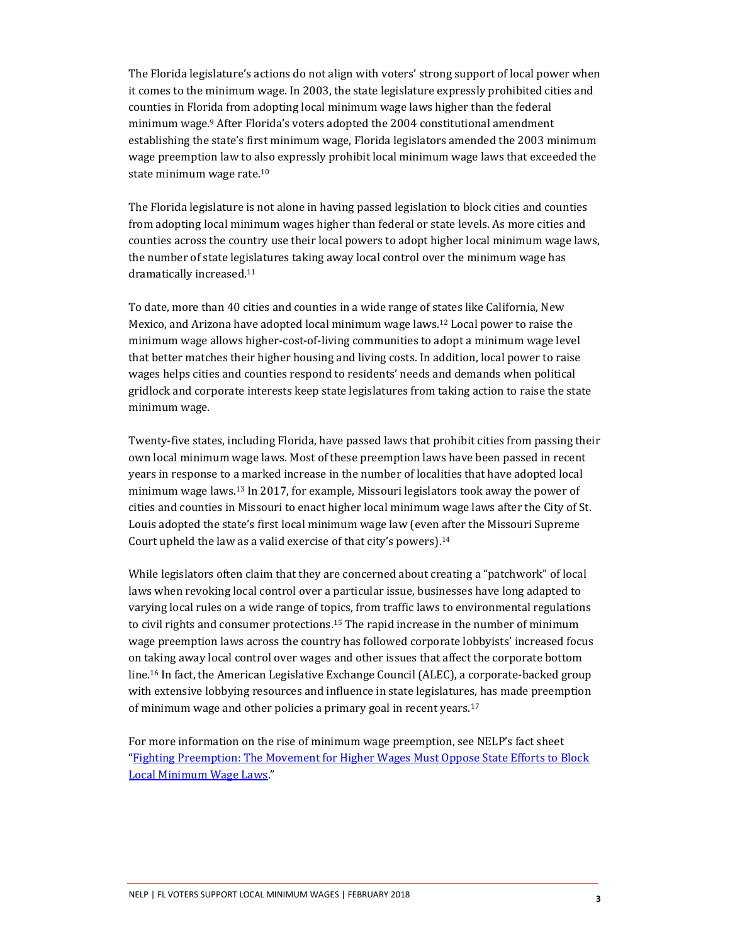The Florida legislature's actions do not align with voters' strong support of local power when it comes to the minimum wage. In 2003, the state legislature expressly prohibited cities and counties in Florida from adopting local minimum wage laws higher than the federal minimum wage.<sup>9</sup> After Florida's voters adopted the 2004 constitutional amendment establishing the state's first minimum wage, Florida legislators amended the 2003 minimum wage preemption law to also expressly prohibit local minimum wage laws that exceeded the state minimum wage rate.<sup>10</sup>

The Florida legislature is not alone in having passed legislation to block cities and counties from adopting local minimum wages higher than federal or state levels. As more cities and counties across the country use their local powers to adopt higher local minimum wage laws, the number of state legislatures taking away local control over the minimum wage has dramatically increased.<sup>11</sup>

To date, more than 40 cities and counties in a wide range of states like California, New Mexico, and Arizona have adopted local minimum wage laws.12 Local power to raise the minimum wage allows higher-cost-of-living communities to adopt a minimum wage level that better matches their higher housing and living costs. In addition, local power to raise wages helps cities and counties respond to residents' needs and demands when political gridlock and corporate interests keep state legislatures from taking action to raise the state minimum wage.

Twenty-five states, including Florida, have passed laws that prohibit cities from passing their own local minimum wage laws. Most of these preemption laws have been passed in recent years in response to a marked increase in the number of localities that have adopted local minimum wage laws.13 In 2017, for example, Missouri legislators took away the power of cities and counties in Missouri to enact higher local minimum wage laws after the City of St. Louis adopted the state's first local minimum wage law (even after the Missouri Supreme Court upheld the law as a valid exercise of that city's powers).<sup>14</sup>

While legislators often claim that they are concerned about creating a "patchwork" of local laws when revoking local control over a particular issue, businesses have long adapted to varying local rules on a wide range of topics, from traffic laws to environmental regulations to civil rights and consumer protections.15 The rapid increase in the number of minimum wage preemption laws across the country has followed corporate lobbyists' increased focus on taking away local control over wages and other issues that affect the corporate bottom line.16 In fact, the American Legislative Exchange Council (ALEC), a corporate-backed group with extensive lobbying resources and influence in state legislatures, has made preemption of minimum wage and other policies a primary goal in recent years. $17$ 

For more information on the rise of minimum wage preemption, see NELP's fact sheet "[Fighting Preemption: The Movement for Higher Wages Must Oppose State Efforts to Block](http://www.nelp.org/publication/fighting-preemption-local-minimum-wage-laws/)  [Local Minimum Wage Laws](http://www.nelp.org/publication/fighting-preemption-local-minimum-wage-laws/)."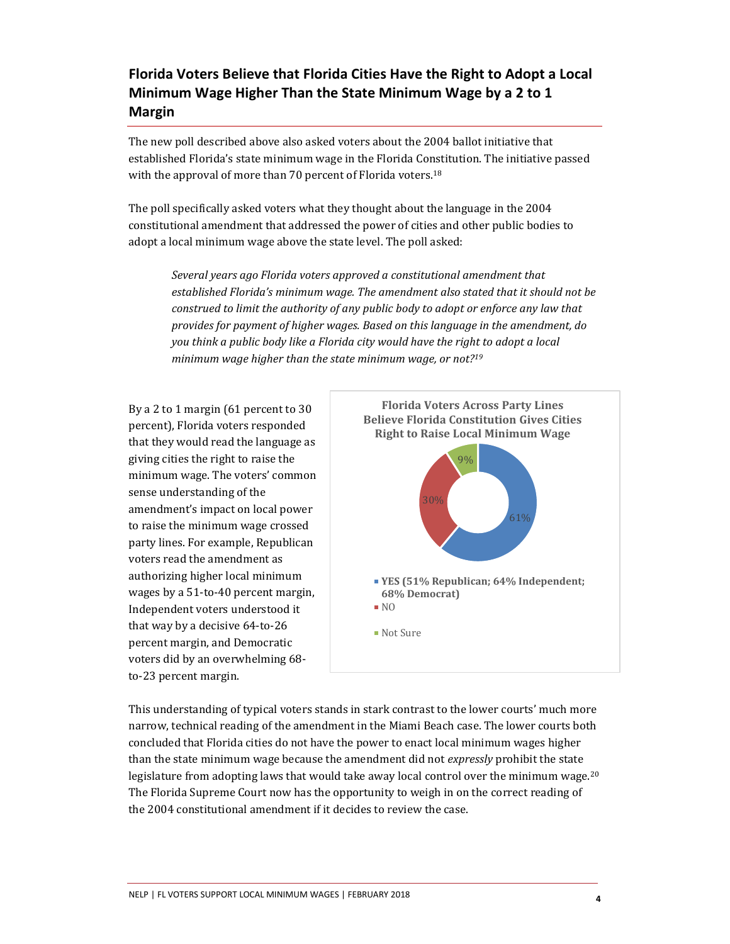# **Florida Voters Believe that Florida Cities Have the Right to Adopt a Local Minimum Wage Higher Than the State Minimum Wage by a 2 to 1 Margin**

The new poll described above also asked voters about the 2004 ballot initiative that established Florida's state minimum wage in the Florida Constitution. The initiative passed with the approval of more than 70 percent of Florida voters.<sup>18</sup>

The poll specifically asked voters what they thought about the language in the 2004 constitutional amendment that addressed the power of cities and other public bodies to adopt a local minimum wage above the state level. The poll asked:

*Several years ago Florida voters approved a constitutional amendment that established Florida's minimum wage. The amendment also stated that it should not be construed to limit the authority of any public body to adopt or enforce any law that provides for payment of higher wages. Based on this language in the amendment, do you think a public body like a Florida city would have the right to adopt a local minimum wage higher than the state minimum wage, or not?<sup>19</sup>* 

By a 2 to 1 margin (61 percent to 30 percent), Florida voters responded that they would read the language as giving cities the right to raise the minimum wage. The voters' common sense understanding of the amendment's impact on local power to raise the minimum wage crossed party lines. For example, Republican voters read the amendment as authorizing higher local minimum wages by a 51-to-40 percent margin, Independent voters understood it that way by a decisive 64-to-26 percent margin, and Democratic voters did by an overwhelming 68 to-23 percent margin.



This understanding of typical voters stands in stark contrast to the lower courts' much more narrow, technical reading of the amendment in the Miami Beach case. The lower courts both concluded that Florida cities do not have the power to enact local minimum wages higher than the state minimum wage because the amendment did not *expressly* prohibit the state legislature from adopting laws that would take away local control over the minimum wage. $^{20}$ The Florida Supreme Court now has the opportunity to weigh in on the correct reading of the 2004 constitutional amendment if it decides to review the case.